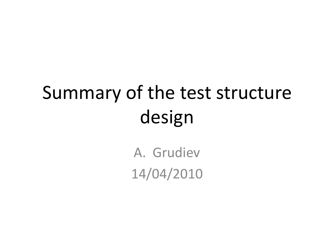# Summary of the test structure design

A. Grudiev 14/04/2010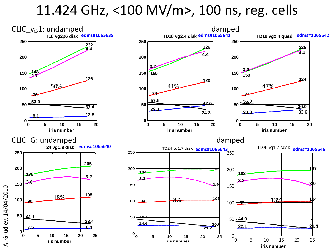### 11.424 GHz, <100 MV/m>, 100 ns, reg. cells

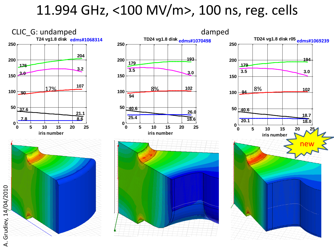### 11.994 GHz, <100 MV/m>, 100 ns, reg. cells

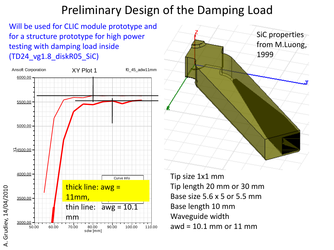### Preliminary Design of the Damping Load

Will be used for CLIC module prototype and for a structure prototype for high power testing with damping load inside (TD24\_vg1.8\_diskR05\_SiC)





Tip size 1x1 mm Tip length 20 mm or 30 mm Base size 5.6 x 5 or 5.5 mm Base length 10 mm Waveguide width  $\frac{1}{80.00}$   $\frac{1}{90.00}$   $\frac{1}{100.00}$   $\frac{1}{110.00}$  awd = 10.1 mm or 11 mm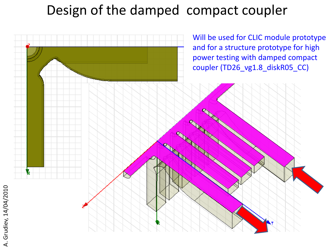### Design of the damped compact coupler

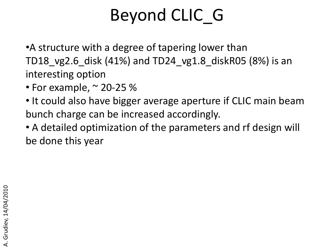## Beyond CLIC\_G

•A structure with a degree of tapering lower than TD18\_vg2.6\_disk (41%) and TD24\_vg1.8\_diskR05 (8%) is an interesting option

- For example,  $\sim$  20-25 %
- It could also have bigger average aperture if CLIC main beam bunch charge can be increased accordingly.
- A detailed optimization of the parameters and rf design will be done this year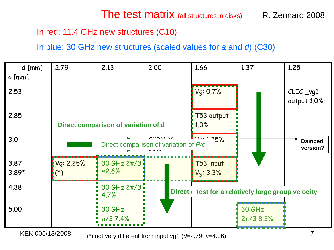### The test matrix (all structures in disks)

#### R. Zennaro 2008

#### In red: 11.4 GHz new structures (C10)

In blue: 30 GHz new structures (scaled values for *a* and *d*) (C30)

| $d$ [mm]<br>$\alpha$ [mm] | 2.79                                | 2.13                          | 2.00                                                 | 1.66                                               | 1.37                   | 1.25                       |
|---------------------------|-------------------------------------|-------------------------------|------------------------------------------------------|----------------------------------------------------|------------------------|----------------------------|
| 2.53                      |                                     |                               |                                                      | Vg: 0.7%                                           |                        | $CLIC$ _vg1<br>output 1.0% |
| 2.85                      | Direct comparison of variation of d |                               |                                                      | T53 output<br>1.0%                                 |                        |                            |
| 3.0                       |                                     |                               | $C$ $N$ $N$<br>Direct comparison of variation of P/c | $11 - 125%$                                        |                        | <b>Damped</b><br>version?  |
| 3.87<br>$3.89*$           | Vq: 2.25%<br>$(\star)$              | $30$ GHz $2\pi/3$<br>x2.6%    |                                                      | T53 input<br>Vg: 3.3%                              |                        |                            |
| 4.38                      |                                     | $30$ GHz $2\pi/3$<br>4.7%     |                                                      | Direct (Test for a relatively large group velocity |                        |                            |
| 5.00                      |                                     | <b>30 GHz</b><br>$\pi/2$ 7.4% |                                                      |                                                    | 30 GHz<br>$2\pi/38.2%$ |                            |

KEK 005/13/2008 7 (\*) not very different from input vg1 (*d*=2.79; *a*=4.06)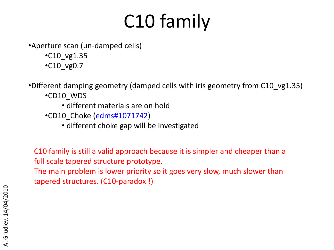# C10 family

•Aperture scan (un-damped cells)

- •C10\_vg1.35
- $\cdot$ C10 vg0.7
- •Different damping geometry (damped cells with iris geometry from C10 vg1.35)
	- •CD10\_WDS
		- different materials are on hold
	- •CD10 Choke (edms#1071742)
		- different choke gap will be investigated

C10 family is still a valid approach because it is simpler and cheaper than a full scale tapered structure prototype.

The main problem is lower priority so it goes very slow, much slower than tapered structures. (C10-paradox !)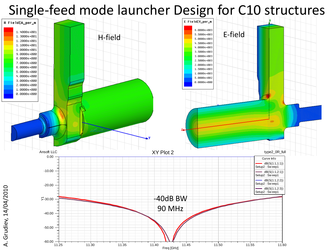## Single-feed mode launcher Design for C10 structures